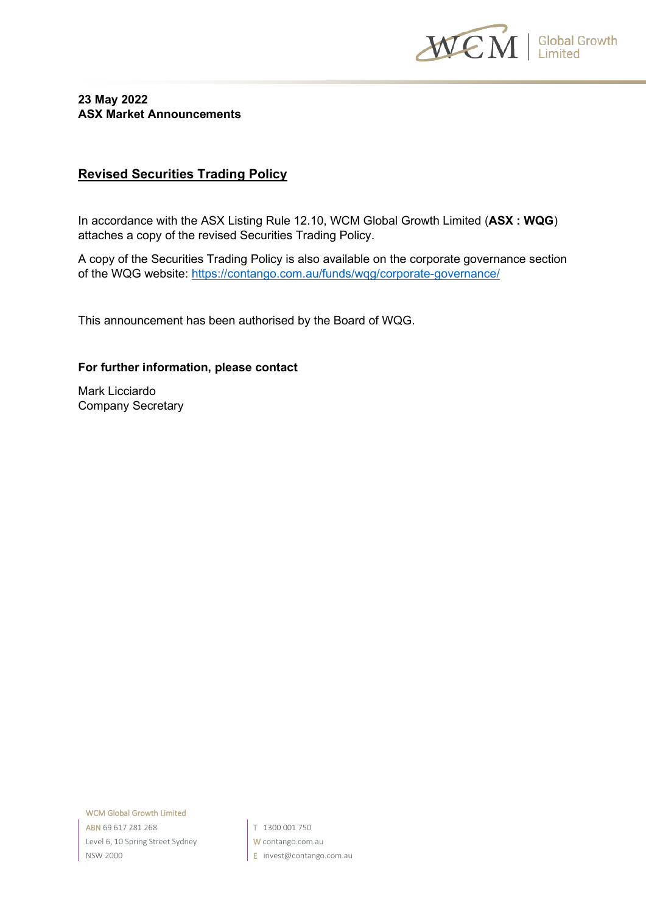

#### **23 May 2022 ASX Market Announcements**

### **Revised Securities Trading Policy**

In accordance with the ASX Listing Rule 12.10, WCM Global Growth Limited (**ASX : WQG**) attaches a copy of the revised Securities Trading Policy.

A copy of the Securities Trading Policy is also available on the corporate governance section of the WQG website:<https://contango.com.au/funds/wqg/corporate-governance/>

This announcement has been authorised by the Board of WQG.

#### **For further information, please contact**

Mark Licciardo Company Secretary

WCM Global Growth Limited ABN 69 617 281 268 Level 6, 10 Spring Street Sydney NSW 2000

T 1300 001 750 W contango.com.au E invest@contango.com.au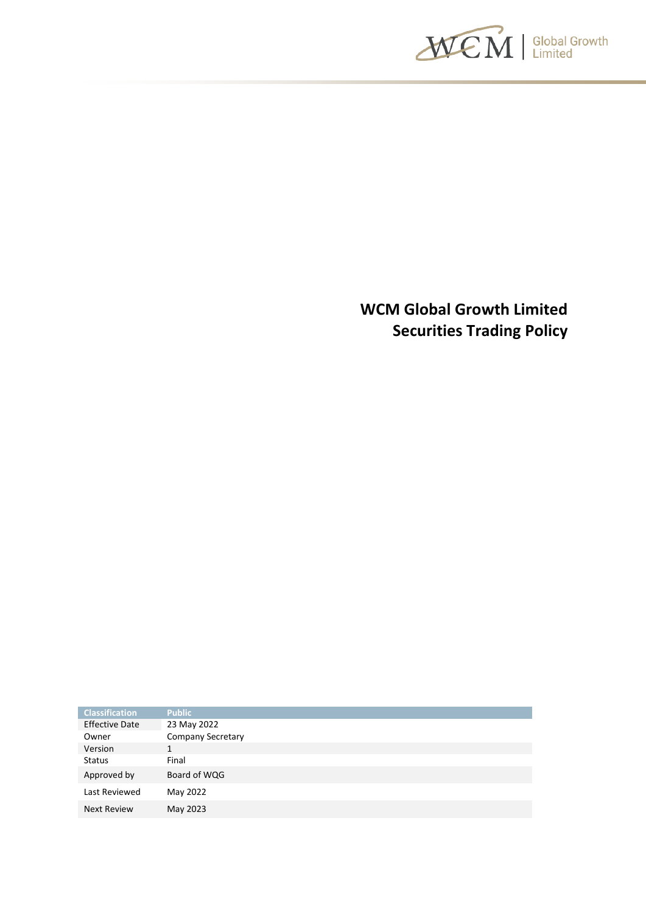

**WCM Global Growth Limited Securities Trading Policy**

| <b>Classification</b> | <b>Public</b>            |
|-----------------------|--------------------------|
| <b>Effective Date</b> | 23 May 2022              |
| Owner                 | <b>Company Secretary</b> |
| Version               | 1                        |
| <b>Status</b>         | Final                    |
| Approved by           | Board of WQG             |
| Last Reviewed         | May 2022                 |
| <b>Next Review</b>    | May 2023                 |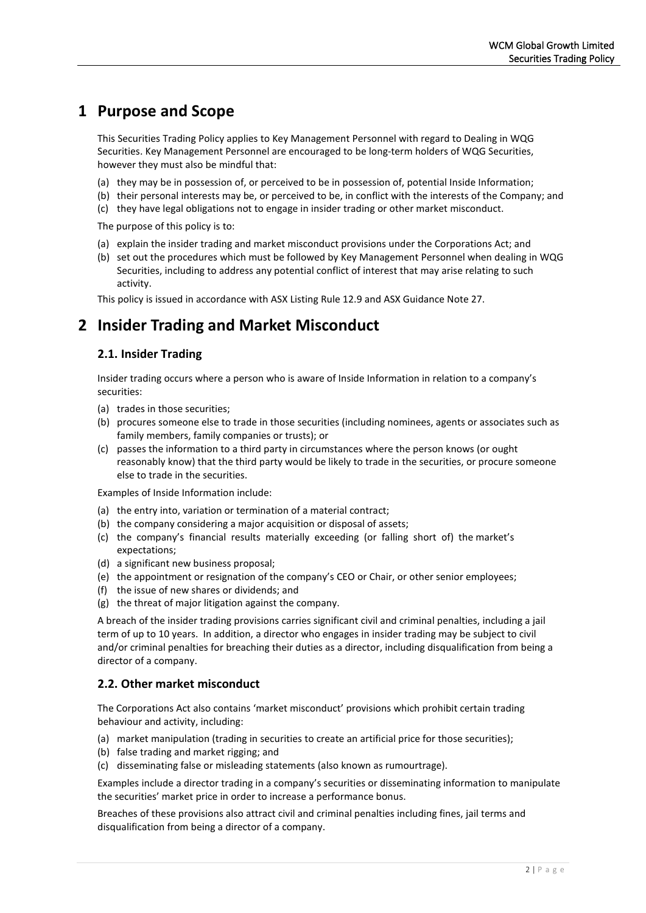## **1 Purpose and Scope**

This Securities Trading Policy applies to Key Management Personnel with regard to Dealing in WQG Securities. Key Management Personnel are encouraged to be long-term holders of WQG Securities, however they must also be mindful that:

- (a) they may be in possession of, or perceived to be in possession of, potential Inside Information;
- (b) their personal interests may be, or perceived to be, in conflict with the interests of the Company; and
- (c) they have legal obligations not to engage in insider trading or other market misconduct.

The purpose of this policy is to:

- (a) explain the insider trading and market misconduct provisions under the Corporations Act; and
- (b) set out the procedures which must be followed by Key Management Personnel when dealing in WQG Securities, including to address any potential conflict of interest that may arise relating to such activity.

This policy is issued in accordance with ASX Listing Rule 12.9 and ASX Guidance Note 27.

### **2 Insider Trading and Market Misconduct**

#### **2.1. Insider Trading**

Insider trading occurs where a person who is aware of Inside Information in relation to a company's securities:

- (a) trades in those securities;
- (b) procures someone else to trade in those securities (including nominees, agents or associates such as family members, family companies or trusts); or
- (c) passes the information to a third party in circumstances where the person knows (or ought reasonably know) that the third party would be likely to trade in the securities, or procure someone else to trade in the securities.

Examples of Inside Information include:

- (a) the entry into, variation or termination of a material contract;
- (b) the company considering a major acquisition or disposal of assets;
- (c) the company's financial results materially exceeding (or falling short of) the market's expectations;
- (d) a significant new business proposal;
- (e) the appointment or resignation of the company's CEO or Chair, or other senior employees;
- (f) the issue of new shares or dividends; and
- (g) the threat of major litigation against the company.

A breach of the insider trading provisions carries significant civil and criminal penalties, including a jail term of up to 10 years. In addition, a director who engages in insider trading may be subject to civil and/or criminal penalties for breaching their duties as a director, including disqualification from being a director of a company.

#### **2.2. Other market misconduct**

The Corporations Act also contains 'market misconduct' provisions which prohibit certain trading behaviour and activity, including:

- (a) market manipulation (trading in securities to create an artificial price for those securities);
- (b) false trading and market rigging; and
- (c) disseminating false or misleading statements (also known as rumourtrage).

Examples include a director trading in a company's securities or disseminating information to manipulate the securities' market price in order to increase a performance bonus.

Breaches of these provisions also attract civil and criminal penalties including fines, jail terms and disqualification from being a director of a company.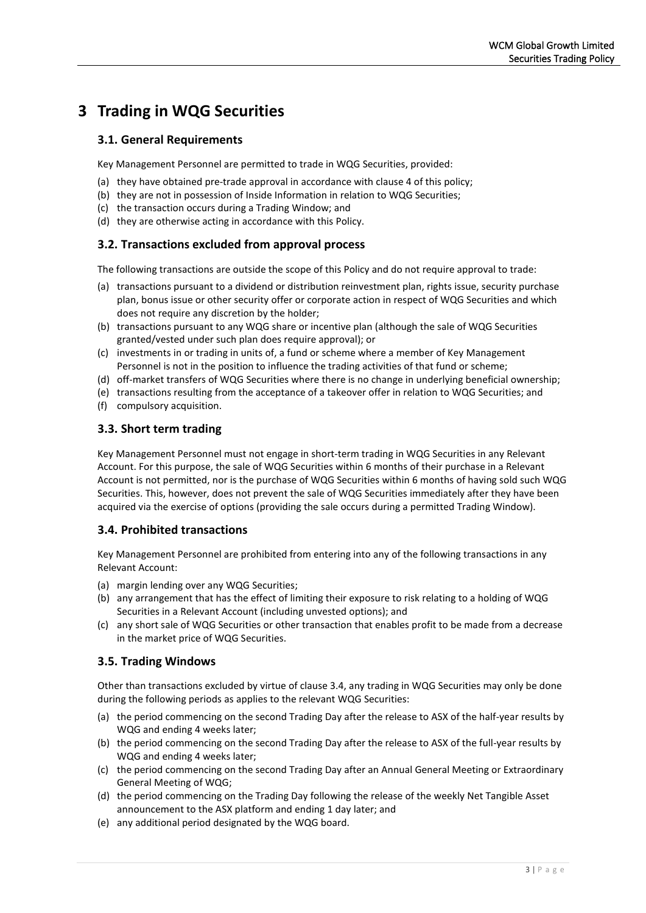# **3 Trading in WQG Securities**

#### **3.1. General Requirements**

Key Management Personnel are permitted to trade in WQG Securities, provided:

- (a) they have obtained pre-trade approval in accordance with clause 4 of this policy;
- (b) they are not in possession of Inside Information in relation to WQG Securities;
- (c) the transaction occurs during a Trading Window; and
- (d) they are otherwise acting in accordance with this Policy.

#### **3.2. Transactions excluded from approval process**

The following transactions are outside the scope of this Policy and do not require approval to trade:

- (a) transactions pursuant to a dividend or distribution reinvestment plan, rights issue, security purchase plan, bonus issue or other security offer or corporate action in respect of WQG Securities and which does not require any discretion by the holder;
- (b) transactions pursuant to any WQG share or incentive plan (although the sale of WQG Securities granted/vested under such plan does require approval); or
- (c) investments in or trading in units of, a fund or scheme where a member of Key Management Personnel is not in the position to influence the trading activities of that fund or scheme;
- (d) off-market transfers of WQG Securities where there is no change in underlying beneficial ownership;
- (e) transactions resulting from the acceptance of a takeover offer in relation to WQG Securities; and
- (f) compulsory acquisition.

#### **3.3. Short term trading**

Key Management Personnel must not engage in short-term trading in WQG Securities in any Relevant Account. For this purpose, the sale of WQG Securities within 6 months of their purchase in a Relevant Account is not permitted, nor is the purchase of WQG Securities within 6 months of having sold such WQG Securities. This, however, does not prevent the sale of WQG Securities immediately after they have been acquired via the exercise of options (providing the sale occurs during a permitted Trading Window).

#### **3.4. Prohibited transactions**

Key Management Personnel are prohibited from entering into any of the following transactions in any Relevant Account:

- (a) margin lending over any WQG Securities;
- (b) any arrangement that has the effect of limiting their exposure to risk relating to a holding of WQG Securities in a Relevant Account (including unvested options); and
- (c) any short sale of WQG Securities or other transaction that enables profit to be made from a decrease in the market price of WQG Securities.

#### **3.5. Trading Windows**

Other than transactions excluded by virtue of clause 3.4, any trading in WQG Securities may only be done during the following periods as applies to the relevant WQG Securities:

- (a) the period commencing on the second Trading Day after the release to ASX of the half-year results by WQG and ending 4 weeks later;
- (b) the period commencing on the second Trading Day after the release to ASX of the full-year results by WQG and ending 4 weeks later;
- (c) the period commencing on the second Trading Day after an Annual General Meeting or Extraordinary General Meeting of WQG;
- (d) the period commencing on the Trading Day following the release of the weekly Net Tangible Asset announcement to the ASX platform and ending 1 day later; and
- (e) any additional period designated by the WQG board.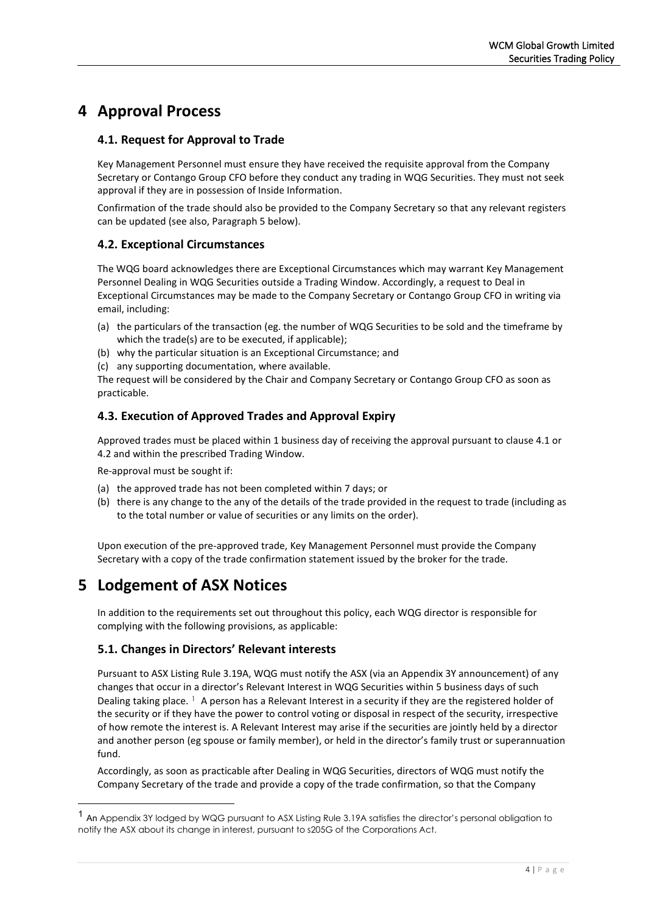# **4 Approval Process**

#### **4.1. Request for Approval to Trade**

Key Management Personnel must ensure they have received the requisite approval from the Company Secretary or Contango Group CFO before they conduct any trading in WQG Securities. They must not seek approval if they are in possession of Inside Information.

Confirmation of the trade should also be provided to the Company Secretary so that any relevant registers can be updated (see also, Paragraph 5 below).

#### **4.2. Exceptional Circumstances**

The WQG board acknowledges there are Exceptional Circumstances which may warrant Key Management Personnel Dealing in WQG Securities outside a Trading Window. Accordingly, a request to Deal in Exceptional Circumstances may be made to the Company Secretary or Contango Group CFO in writing via email, including:

- (a) the particulars of the transaction (eg. the number of WQG Securities to be sold and the timeframe by which the trade(s) are to be executed, if applicable);
- (b) why the particular situation is an Exceptional Circumstance; and
- (c) any supporting documentation, where available.

The request will be considered by the Chair and Company Secretary or Contango Group CFO as soon as practicable.

#### **4.3. Execution of Approved Trades and Approval Expiry**

Approved trades must be placed within 1 business day of receiving the approval pursuant to clause 4.1 or 4.2 and within the prescribed Trading Window.

Re-approval must be sought if:

- (a) the approved trade has not been completed within 7 days; or
- (b) there is any change to the any of the details of the trade provided in the request to trade (including as to the total number or value of securities or any limits on the order).

Upon execution of the pre-approved trade, Key Management Personnel must provide the Company Secretary with a copy of the trade confirmation statement issued by the broker for the trade.

## **5 Lodgement of ASX Notices**

In addition to the requirements set out throughout this policy, each WQG director is responsible for complying with the following provisions, as applicable:

### **5.1. Changes in Directors' Relevant interests**

Pursuant to ASX Listing Rule 3.19A, WQG must notify the ASX (via an Appendix 3Y announcement) of any changes that occur in a director's Relevant Interest in WQG Securities within 5 business days of such Dealing taking place. <sup>[1](#page-4-0)</sup> A person has a Relevant Interest in a security if they are the registered holder of the security or if they have the power to control voting or disposal in respect of the security, irrespective of how remote the interest is. A Relevant Interest may arise if the securities are jointly held by a director and another person (eg spouse or family member), or held in the director's family trust or superannuation fund.

Accordingly, as soon as practicable after Dealing in WQG Securities, directors of WQG must notify the Company Secretary of the trade and provide a copy of the trade confirmation, so that the Company

<span id="page-4-0"></span><sup>1</sup> An Appendix 3Y lodged by WQG pursuant to ASX Listing Rule 3.19A satisfies the director's personal obligation to notify the ASX about its change in interest, pursuant to s205G of the Corporations Act.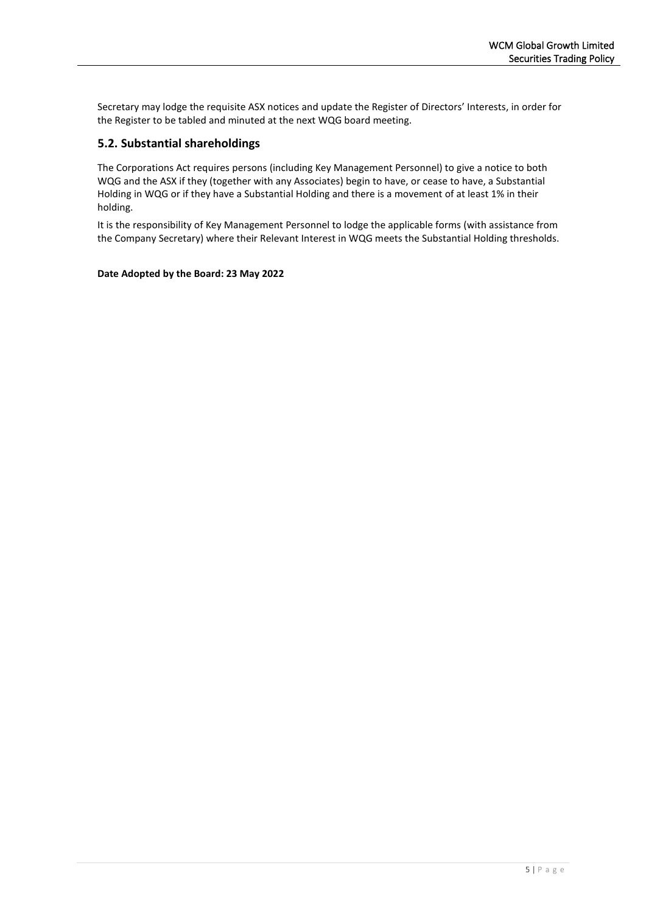Secretary may lodge the requisite ASX notices and update the Register of Directors' Interests, in order for the Register to be tabled and minuted at the next WQG board meeting.

#### **5.2. Substantial shareholdings**

The Corporations Act requires persons (including Key Management Personnel) to give a notice to both WQG and the ASX if they (together with any Associates) begin to have, or cease to have, a Substantial Holding in WQG or if they have a Substantial Holding and there is a movement of at least 1% in their holding.

It is the responsibility of Key Management Personnel to lodge the applicable forms (with assistance from the Company Secretary) where their Relevant Interest in WQG meets the Substantial Holding thresholds.

#### **Date Adopted by the Board: 23 May 2022**